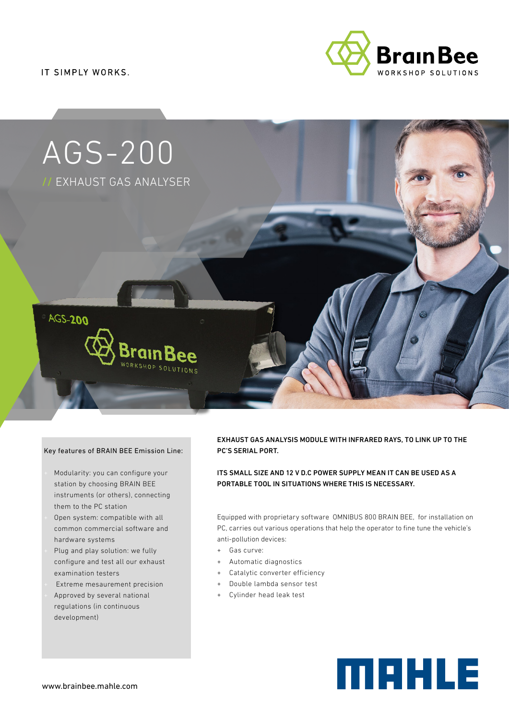IT SIMPLY WORKS.





#### Key features of BRAIN BEE Emission Line:

- Modularity: you can configure your station by choosing BRAIN BEE instruments (or others), connecting them to the PC station
- Open system: compatible with all common commercial software and hardware systems
- Plug and play solution: we fully configure and test all our exhaust examination testers
- Extreme mesaurement precision
- Approved by several national regulations (in continuous
- development)

EXHAUST GAS ANALYSIS MODULE WITH INFRARED RAYS, TO LINK UP TO THE PC'S SERIAL PORT.

ITS SMALL SIZE AND 12 V D.C POWER SUPPLY MEAN IT CAN BE USED AS A PORTABLE TOOL IN SITUATIONS WHERE THIS IS NECESSARY.

Equipped with proprietary software OMNIBUS 800 BRAIN BEE, for installation on PC, carries out various operations that help the operator to fine tune the vehicle's anti-pollution devices:

- + Gas curve:
- Automatic diagnostics
- + Catalytic converter efficiency
- + Double lambda sensor test
- + Cylinder head leak test